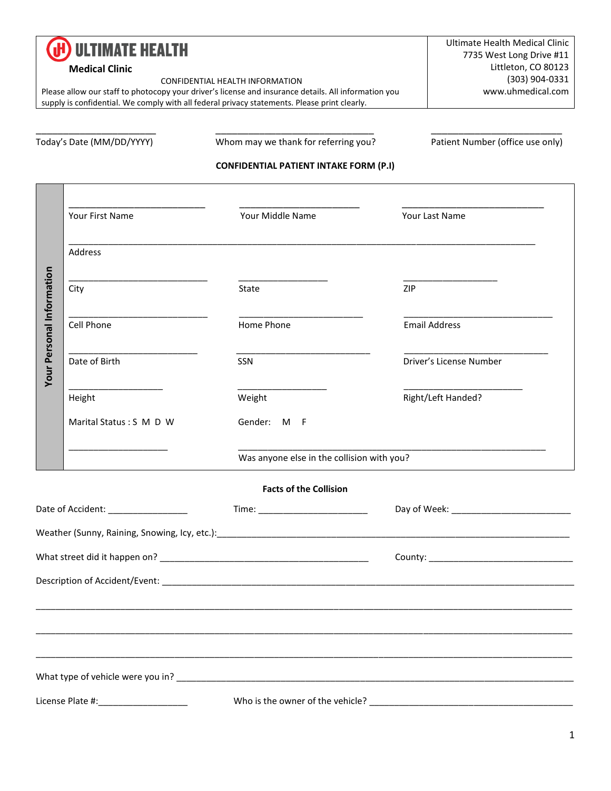# **(H) ULTIMATE HEALTH**

# **Medical Clinic**

CONFIDENTIAL HEALTH INFORMATION

Please allow our staff to photocopy your driver's license and insurance details. All information you supply is confidential. We comply with all federal privacy statements. Please print clearly.

г

\_\_\_\_\_\_\_\_\_\_\_\_\_\_\_\_\_\_\_\_\_\_ \_\_\_\_\_\_\_\_\_\_\_\_\_\_\_\_\_\_\_\_\_\_\_\_\_\_\_\_\_ \_\_\_\_\_\_\_\_\_\_\_\_\_\_\_\_\_\_\_\_\_\_\_\_ Today's Date (MM/DD/YYYY) Whom may we thank for referring you? Patient Number (office use only)

## **CONFIDENTIAL PATIENT INTAKE FORM (P.I)**

|                                       | Your First Name         | Your Middle Name                           | Your Last Name          |
|---------------------------------------|-------------------------|--------------------------------------------|-------------------------|
|                                       | Address                 |                                            |                         |
|                                       | City                    | State                                      | <b>ZIP</b>              |
|                                       | Cell Phone              | Home Phone                                 | <b>Email Address</b>    |
| Your Personal Information             | Date of Birth           | SSN                                        | Driver's License Number |
|                                       | Height                  | Weight                                     | Right/Left Handed?      |
|                                       | Marital Status: S M D W | Gender: M F                                |                         |
|                                       |                         | Was anyone else in the collision with you? |                         |
|                                       |                         | <b>Facts of the Collision</b>              |                         |
| Date of Accident: _________________   |                         | Time: _________________________            |                         |
|                                       |                         |                                            |                         |
|                                       |                         |                                            |                         |
|                                       |                         |                                            |                         |
|                                       |                         |                                            |                         |
|                                       |                         |                                            |                         |
|                                       |                         |                                            |                         |
|                                       |                         |                                            |                         |
| License Plate #: ____________________ |                         |                                            |                         |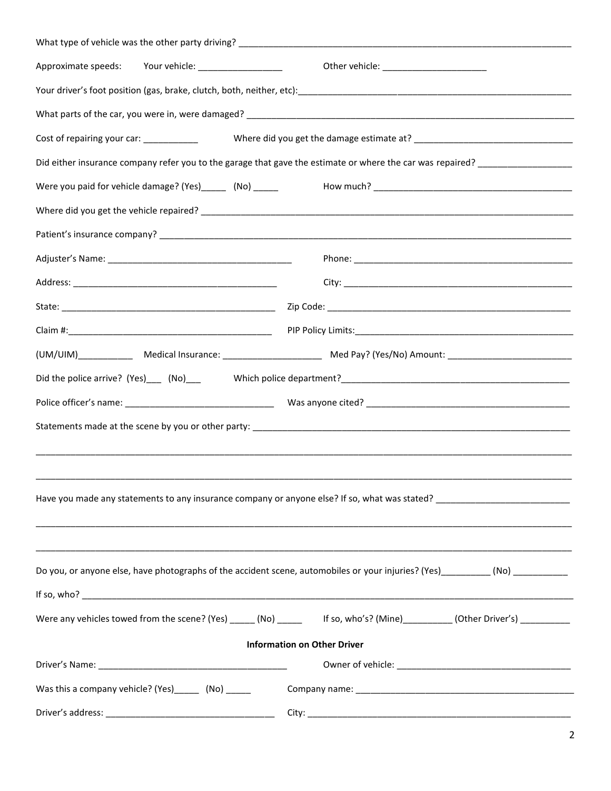| Your vehicle: ___________________<br>Approximate speeds:                                                                                                                                                                       |  |  |  |  |
|--------------------------------------------------------------------------------------------------------------------------------------------------------------------------------------------------------------------------------|--|--|--|--|
| Your driver's foot position (gas, brake, clutch, both, neither, etc): [14] Decree and according to the set of the set of the set of the set of the set of the set of the set of the set of the set of the set of the set of th |  |  |  |  |
|                                                                                                                                                                                                                                |  |  |  |  |
| Cost of repairing your car: ____________                                                                                                                                                                                       |  |  |  |  |
| Did either insurance company refer you to the garage that gave the estimate or where the car was repaired? ___________________________                                                                                         |  |  |  |  |
| Were you paid for vehicle damage? (Yes)_______ (No) ______                                                                                                                                                                     |  |  |  |  |
|                                                                                                                                                                                                                                |  |  |  |  |
|                                                                                                                                                                                                                                |  |  |  |  |
|                                                                                                                                                                                                                                |  |  |  |  |
|                                                                                                                                                                                                                                |  |  |  |  |
|                                                                                                                                                                                                                                |  |  |  |  |
|                                                                                                                                                                                                                                |  |  |  |  |
|                                                                                                                                                                                                                                |  |  |  |  |
| Did the police arrive? (Yes)____ (No)___                                                                                                                                                                                       |  |  |  |  |
|                                                                                                                                                                                                                                |  |  |  |  |
|                                                                                                                                                                                                                                |  |  |  |  |
|                                                                                                                                                                                                                                |  |  |  |  |
|                                                                                                                                                                                                                                |  |  |  |  |
|                                                                                                                                                                                                                                |  |  |  |  |
|                                                                                                                                                                                                                                |  |  |  |  |
|                                                                                                                                                                                                                                |  |  |  |  |
| Do you, or anyone else, have photographs of the accident scene, automobiles or your injuries? (Yes)__________ (No) ____________                                                                                                |  |  |  |  |
| If so, who? $\overline{\phantom{a}}$                                                                                                                                                                                           |  |  |  |  |
| Were any vehicles towed from the scene? (Yes) _____ (No) _____ If so, who's? (Mine) ________ (Other Driver's) __________                                                                                                       |  |  |  |  |
| <b>Information on Other Driver</b>                                                                                                                                                                                             |  |  |  |  |
|                                                                                                                                                                                                                                |  |  |  |  |
| Was this a company vehicle? (Yes)________ (No) ______                                                                                                                                                                          |  |  |  |  |
|                                                                                                                                                                                                                                |  |  |  |  |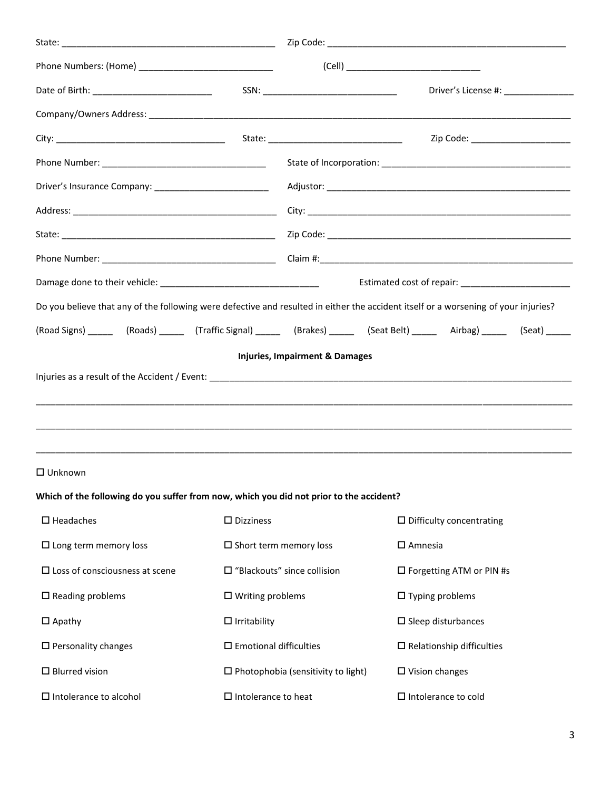|                                                                                         |                                    |                                           | Zip Code: ________________________                                                                                                     |
|-----------------------------------------------------------------------------------------|------------------------------------|-------------------------------------------|----------------------------------------------------------------------------------------------------------------------------------------|
|                                                                                         |                                    |                                           |                                                                                                                                        |
| Driver's Insurance Company: ___________________________                                 |                                    |                                           |                                                                                                                                        |
|                                                                                         |                                    |                                           |                                                                                                                                        |
|                                                                                         |                                    |                                           |                                                                                                                                        |
|                                                                                         |                                    |                                           |                                                                                                                                        |
|                                                                                         |                                    |                                           |                                                                                                                                        |
|                                                                                         |                                    |                                           | Do you believe that any of the following were defective and resulted in either the accident itself or a worsening of your injuries?    |
|                                                                                         |                                    |                                           | (Road Signs) __________ (Roads) __________ (Traffic Signal) _________ (Brakes) ___________ (Seat Belt) ____________ (Seat) ___________ |
|                                                                                         |                                    |                                           |                                                                                                                                        |
| $\Box$ Unknown                                                                          |                                    |                                           |                                                                                                                                        |
| Which of the following do you suffer from now, which you did not prior to the accident? |                                    |                                           |                                                                                                                                        |
| $\square$ Headaches                                                                     | $\square$ Dizziness                |                                           | $\Box$ Difficulty concentrating                                                                                                        |
| $\Box$ Long term memory loss                                                            | $\square$ Short term memory loss   |                                           | $\square$ Amnesia                                                                                                                      |
| $\square$ Loss of consciousness at scene                                                | $\Box$ "Blackouts" since collision |                                           | $\Box$ Forgetting ATM or PIN #s                                                                                                        |
| $\Box$ Reading problems                                                                 | $\Box$ Writing problems            |                                           | $\Box$ Typing problems                                                                                                                 |
| $\square$ Apathy                                                                        | $\Box$ Irritability                |                                           | $\square$ Sleep disturbances                                                                                                           |
| $\square$ Personality changes                                                           | $\square$ Emotional difficulties   |                                           | $\Box$ Relationship difficulties                                                                                                       |
| $\square$ Blurred vision                                                                |                                    | $\Box$ Photophobia (sensitivity to light) | $\square$ Vision changes                                                                                                               |
| $\square$ Intolerance to alcohol                                                        | $\square$ Intolerance to heat      |                                           | $\square$ Intolerance to cold                                                                                                          |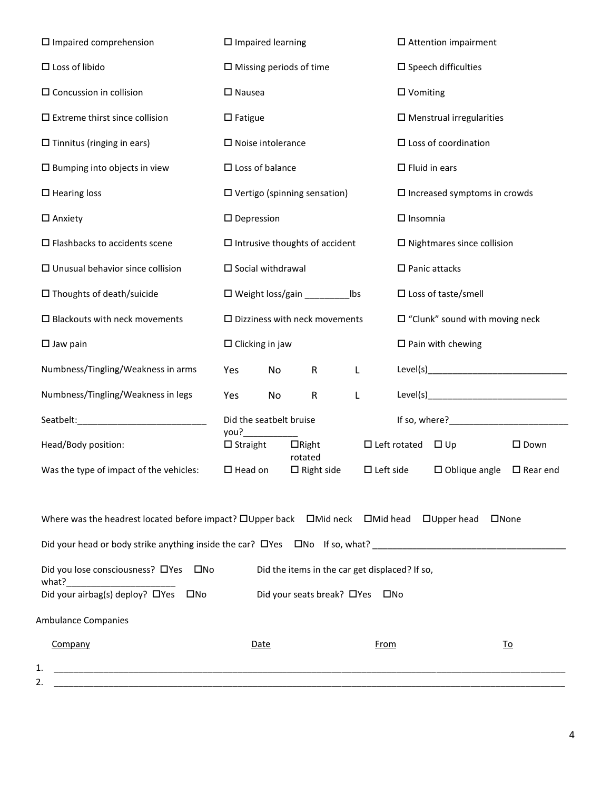| $\Box$ Impaired comprehension                                                                                                                                                                                    | $\Box$ Impaired learning                                              | $\Box$ Attention impairment                     |  |  |
|------------------------------------------------------------------------------------------------------------------------------------------------------------------------------------------------------------------|-----------------------------------------------------------------------|-------------------------------------------------|--|--|
| $\square$ Loss of libido<br>$\square$ Missing periods of time                                                                                                                                                    |                                                                       | $\square$ Speech difficulties                   |  |  |
| $\square$ Concussion in collision                                                                                                                                                                                | $\square$ Nausea                                                      | $\square$ Vomiting                              |  |  |
| $\Box$ Extreme thirst since collision                                                                                                                                                                            | $\square$ Fatigue                                                     | $\Box$ Menstrual irregularities                 |  |  |
| $\Box$ Tinnitus (ringing in ears)                                                                                                                                                                                | $\square$ Noise intolerance                                           | $\square$ Loss of coordination                  |  |  |
| $\square$ Bumping into objects in view                                                                                                                                                                           | $\square$ Loss of balance                                             | $\Box$ Fluid in ears                            |  |  |
| $\square$ Hearing loss                                                                                                                                                                                           | $\Box$ Vertigo (spinning sensation)                                   | $\square$ Increased symptoms in crowds          |  |  |
| $\square$ Anxiety                                                                                                                                                                                                | $\square$ Depression                                                  | $\Box$ Insomnia                                 |  |  |
| $\square$ Flashbacks to accidents scene                                                                                                                                                                          | $\Box$ Intrusive thoughts of accident                                 | $\square$ Nightmares since collision            |  |  |
| $\square$ Unusual behavior since collision                                                                                                                                                                       | $\square$ Social withdrawal                                           | $\square$ Panic attacks                         |  |  |
| $\Box$ Thoughts of death/suicide                                                                                                                                                                                 | □ Weight loss/gain __________ lbs                                     | $\square$ Loss of taste/smell                   |  |  |
| $\square$ Blackouts with neck movements                                                                                                                                                                          | $\square$ Dizziness with neck movements                               | $\Box$ "Clunk" sound with moving neck           |  |  |
| $\square$ Jaw pain                                                                                                                                                                                               | $\Box$ Clicking in jaw                                                | $\Box$ Pain with chewing                        |  |  |
| Numbness/Tingling/Weakness in arms                                                                                                                                                                               | $\mathsf{R}$<br>L<br>Yes<br>No                                        |                                                 |  |  |
| Numbness/Tingling/Weakness in legs                                                                                                                                                                               | $\mathsf L$<br>Yes<br>No<br>$\mathsf{R}$                              |                                                 |  |  |
|                                                                                                                                                                                                                  | Did the seatbelt bruise                                               |                                                 |  |  |
| Head/Body position:                                                                                                                                                                                              | you?<br>$\square$ Straight<br>$\Box$ Right                            | $\Box$ Left rotated $\Box$ Up<br>$\square$ Down |  |  |
| Was the type of impact of the vehicles:                                                                                                                                                                          | rotated<br>$\square$ Head on<br>$\Box$ Left side<br>$\Box$ Right side | $\Box$ Oblique angle $\Box$ Rear end            |  |  |
| Where was the headrest located before impact? OUpper back OMid neck OMid head OUpper head<br>$\square$ None<br>Did your head or body strike anything inside the car? LYes LINo If so, what?<br>LINO If so, what? |                                                                       |                                                 |  |  |
| Did you lose consciousness? $\Box$ Yes $\Box$ No                                                                                                                                                                 | Did the items in the car get displaced? If so,                        |                                                 |  |  |
| Did your airbag(s) deploy? $\Box$ Yes $\Box$ No<br>Did your seats break? OYes ONo                                                                                                                                |                                                                       |                                                 |  |  |
| <b>Ambulance Companies</b>                                                                                                                                                                                       |                                                                       |                                                 |  |  |
| Company<br>1.                                                                                                                                                                                                    | From<br>Date                                                          | <u>To</u>                                       |  |  |

2. \_\_\_\_\_\_\_\_\_\_\_\_\_\_\_\_\_\_\_\_\_\_\_\_\_\_\_\_\_\_\_\_\_\_\_\_\_\_\_\_\_\_\_\_\_\_\_\_\_\_\_\_\_\_\_\_\_\_\_\_\_\_\_\_\_\_\_\_\_\_\_\_\_\_\_\_\_\_\_\_\_\_\_\_\_\_\_\_\_\_\_\_\_\_\_\_\_\_\_\_\_\_\_

4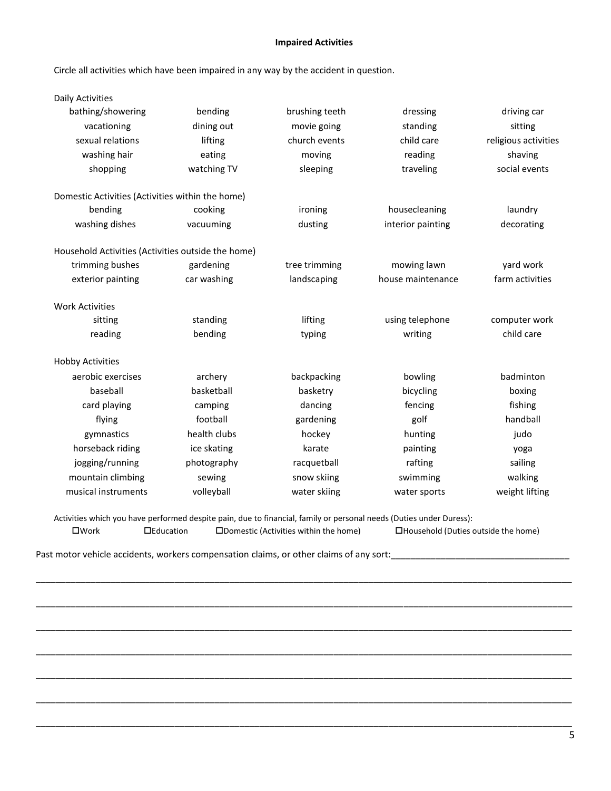#### **Impaired Activities**

Circle all activities which have been impaired in any way by the accident in question.

| Daily Activities                                                                                                    |                    |                                        |                                            |                      |
|---------------------------------------------------------------------------------------------------------------------|--------------------|----------------------------------------|--------------------------------------------|----------------------|
| bathing/showering                                                                                                   | bending            | brushing teeth                         | dressing                                   | driving car          |
| vacationing                                                                                                         | dining out         | movie going                            | standing                                   | sitting              |
| sexual relations                                                                                                    | lifting            | church events                          | child care                                 | religious activities |
| washing hair                                                                                                        | eating             | moving                                 | reading                                    | shaving              |
| shopping                                                                                                            | watching TV        | sleeping                               | traveling                                  | social events        |
| Domestic Activities (Activities within the home)                                                                    |                    |                                        |                                            |                      |
| bending                                                                                                             | cooking            | ironing                                | housecleaning                              | laundry              |
| washing dishes                                                                                                      | vacuuming          | dusting                                | interior painting                          | decorating           |
| Household Activities (Activities outside the home)                                                                  |                    |                                        |                                            |                      |
| trimming bushes                                                                                                     | gardening          | tree trimming                          | mowing lawn                                | yard work            |
| exterior painting                                                                                                   | car washing        | landscaping                            | house maintenance                          | farm activities      |
| <b>Work Activities</b>                                                                                              |                    |                                        |                                            |                      |
| sitting                                                                                                             | standing           | lifting                                | using telephone                            | computer work        |
| reading                                                                                                             | bending            | typing                                 | writing                                    | child care           |
| <b>Hobby Activities</b>                                                                                             |                    |                                        |                                            |                      |
| aerobic exercises                                                                                                   | archery            | backpacking                            | bowling                                    | badminton            |
| baseball                                                                                                            | basketball         | basketry                               | bicycling                                  | boxing               |
| card playing                                                                                                        | camping            | dancing                                | fencing                                    | fishing              |
| flying                                                                                                              | football           | gardening                              | golf                                       | handball             |
| gymnastics                                                                                                          | health clubs       | hockey                                 | hunting                                    | judo                 |
| horseback riding                                                                                                    | ice skating        | karate                                 | painting                                   | yoga                 |
| jogging/running                                                                                                     | photography        | racquetball                            | rafting                                    | sailing              |
| mountain climbing                                                                                                   | sewing             | snow skiing                            | swimming                                   | walking              |
| musical instruments                                                                                                 | volleyball         | water skiing                           | water sports                               | weight lifting       |
| Activities which you have performed despite pain, due to financial, family or personal needs (Duties under Duress): |                    |                                        |                                            |                      |
| □Work                                                                                                               | <b>I</b> Education | □Domestic (Activities within the home) | $\Box$ Household (Duties outside the home) |                      |

\_\_\_\_\_\_\_\_\_\_\_\_\_\_\_\_\_\_\_\_\_\_\_\_\_\_\_\_\_\_\_\_\_\_\_\_\_\_\_\_\_\_\_\_\_\_\_\_\_\_\_\_\_\_\_\_\_\_\_\_\_\_\_\_\_\_\_\_\_\_\_\_\_\_\_\_\_\_\_\_\_\_\_\_\_\_\_\_\_\_\_\_\_\_\_\_\_\_\_\_\_\_\_\_\_\_\_\_

\_\_\_\_\_\_\_\_\_\_\_\_\_\_\_\_\_\_\_\_\_\_\_\_\_\_\_\_\_\_\_\_\_\_\_\_\_\_\_\_\_\_\_\_\_\_\_\_\_\_\_\_\_\_\_\_\_\_\_\_\_\_\_\_\_\_\_\_\_\_\_\_\_\_\_\_\_\_\_\_\_\_\_\_\_\_\_\_\_\_\_\_\_\_\_\_\_\_\_\_\_\_\_\_\_\_\_\_

\_\_\_\_\_\_\_\_\_\_\_\_\_\_\_\_\_\_\_\_\_\_\_\_\_\_\_\_\_\_\_\_\_\_\_\_\_\_\_\_\_\_\_\_\_\_\_\_\_\_\_\_\_\_\_\_\_\_\_\_\_\_\_\_\_\_\_\_\_\_\_\_\_\_\_\_\_\_\_\_\_\_\_\_\_\_\_\_\_\_\_\_\_\_\_\_\_\_\_\_\_\_\_\_\_\_\_\_

\_\_\_\_\_\_\_\_\_\_\_\_\_\_\_\_\_\_\_\_\_\_\_\_\_\_\_\_\_\_\_\_\_\_\_\_\_\_\_\_\_\_\_\_\_\_\_\_\_\_\_\_\_\_\_\_\_\_\_\_\_\_\_\_\_\_\_\_\_\_\_\_\_\_\_\_\_\_\_\_\_\_\_\_\_\_\_\_\_\_\_\_\_\_\_\_\_\_\_\_\_\_\_\_\_\_\_\_

\_\_\_\_\_\_\_\_\_\_\_\_\_\_\_\_\_\_\_\_\_\_\_\_\_\_\_\_\_\_\_\_\_\_\_\_\_\_\_\_\_\_\_\_\_\_\_\_\_\_\_\_\_\_\_\_\_\_\_\_\_\_\_\_\_\_\_\_\_\_\_\_\_\_\_\_\_\_\_\_\_\_\_\_\_\_\_\_\_\_\_\_\_\_\_\_\_\_\_\_\_\_\_\_\_\_\_\_

\_\_\_\_\_\_\_\_\_\_\_\_\_\_\_\_\_\_\_\_\_\_\_\_\_\_\_\_\_\_\_\_\_\_\_\_\_\_\_\_\_\_\_\_\_\_\_\_\_\_\_\_\_\_\_\_\_\_\_\_\_\_\_\_\_\_\_\_\_\_\_\_\_\_\_\_\_\_\_\_\_\_\_\_\_\_\_\_\_\_\_\_\_\_\_\_\_\_\_\_\_\_\_\_\_\_\_\_

\_\_\_\_\_\_\_\_\_\_\_\_\_\_\_\_\_\_\_\_\_\_\_\_\_\_\_\_\_\_\_\_\_\_\_\_\_\_\_\_\_\_\_\_\_\_\_\_\_\_\_\_\_\_\_\_\_\_\_\_\_\_\_\_\_\_\_\_\_\_\_\_\_\_\_\_\_\_\_\_\_\_\_\_\_\_\_\_\_\_\_\_\_\_\_\_\_\_\_\_\_\_\_\_\_\_\_\_

Past motor vehicle accidents, workers compensation claims, or other claims of any sort:<br>
Fast motor vehicle accidents, workers compensation claims, or other claims of any sort:<br>
The sort contains and solven and solven and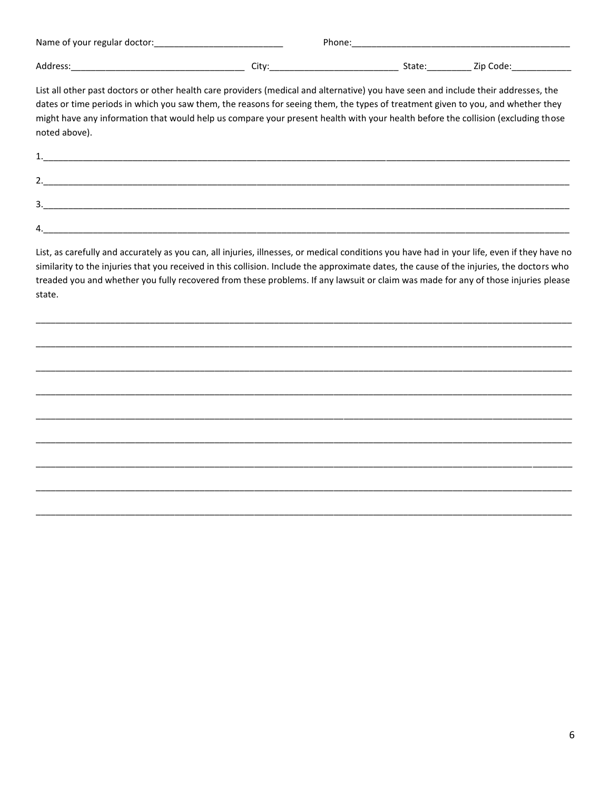| Name<br>' your regular doctor:<br>: OT<br>ັ    |                                                     | Phone: |                                     |                             |
|------------------------------------------------|-----------------------------------------------------|--------|-------------------------------------|-----------------------------|
| Addre<br>ັບ<br>______<br>______<br>___________ | $\overline{\phantom{a}}$<br>ıτν<br>ີ<br>___________ | _____  | $+$ n $+$ n<br>state<br>___________ | Zip Code<br>_______________ |

List all other past doctors or other health care providers (medical and alternative) you have seen and include their addresses, the dates or time periods in which you saw them, the reasons for seeing them, the types of treatment given to you, and whether they might have any information that would help us compare your present health with your health before the collision (excluding those noted above).

| ◠      |  |  |
|--------|--|--|
| ∍<br>ັ |  |  |
| 4      |  |  |

List, as carefully and accurately as you can, all injuries, illnesses, or medical conditions you have had in your life, even if they have no similarity to the injuries that you received in this collision. Include the approximate dates, the cause of the injuries, the doctors who treaded you and whether you fully recovered from these problems. If any lawsuit or claim was made for any of those injuries please state.

\_\_\_\_\_\_\_\_\_\_\_\_\_\_\_\_\_\_\_\_\_\_\_\_\_\_\_\_\_\_\_\_\_\_\_\_\_\_\_\_\_\_\_\_\_\_\_\_\_\_\_\_\_\_\_\_\_\_\_\_\_\_\_\_\_\_\_\_\_\_\_\_\_\_\_\_\_\_\_\_\_\_\_\_\_\_\_\_\_\_\_\_\_\_\_\_\_\_\_\_\_\_\_\_\_\_\_\_

\_\_\_\_\_\_\_\_\_\_\_\_\_\_\_\_\_\_\_\_\_\_\_\_\_\_\_\_\_\_\_\_\_\_\_\_\_\_\_\_\_\_\_\_\_\_\_\_\_\_\_\_\_\_\_\_\_\_\_\_\_\_\_\_\_\_\_\_\_\_\_\_\_\_\_\_\_\_\_\_\_\_\_\_\_\_\_\_\_\_\_\_\_\_\_\_\_\_\_\_\_\_\_\_\_\_\_\_

\_\_\_\_\_\_\_\_\_\_\_\_\_\_\_\_\_\_\_\_\_\_\_\_\_\_\_\_\_\_\_\_\_\_\_\_\_\_\_\_\_\_\_\_\_\_\_\_\_\_\_\_\_\_\_\_\_\_\_\_\_\_\_\_\_\_\_\_\_\_\_\_\_\_\_\_\_\_\_\_\_\_\_\_\_\_\_\_\_\_\_\_\_\_\_\_\_\_\_\_\_\_\_\_\_\_\_\_

\_\_\_\_\_\_\_\_\_\_\_\_\_\_\_\_\_\_\_\_\_\_\_\_\_\_\_\_\_\_\_\_\_\_\_\_\_\_\_\_\_\_\_\_\_\_\_\_\_\_\_\_\_\_\_\_\_\_\_\_\_\_\_\_\_\_\_\_\_\_\_\_\_\_\_\_\_\_\_\_\_\_\_\_\_\_\_\_\_\_\_\_\_\_\_\_\_\_\_\_\_\_\_\_\_\_\_\_

\_\_\_\_\_\_\_\_\_\_\_\_\_\_\_\_\_\_\_\_\_\_\_\_\_\_\_\_\_\_\_\_\_\_\_\_\_\_\_\_\_\_\_\_\_\_\_\_\_\_\_\_\_\_\_\_\_\_\_\_\_\_\_\_\_\_\_\_\_\_\_\_\_\_\_\_\_\_\_\_\_\_\_\_\_\_\_\_\_\_\_\_\_\_\_\_\_\_\_\_\_\_\_\_\_\_\_\_

\_\_\_\_\_\_\_\_\_\_\_\_\_\_\_\_\_\_\_\_\_\_\_\_\_\_\_\_\_\_\_\_\_\_\_\_\_\_\_\_\_\_\_\_\_\_\_\_\_\_\_\_\_\_\_\_\_\_\_\_\_\_\_\_\_\_\_\_\_\_\_\_\_\_\_\_\_\_\_\_\_\_\_\_\_\_\_\_\_\_\_\_\_\_\_\_\_\_\_\_\_\_\_\_\_\_\_\_

\_\_\_\_\_\_\_\_\_\_\_\_\_\_\_\_\_\_\_\_\_\_\_\_\_\_\_\_\_\_\_\_\_\_\_\_\_\_\_\_\_\_\_\_\_\_\_\_\_\_\_\_\_\_\_\_\_\_\_\_\_\_\_\_\_\_\_\_\_\_\_\_\_\_\_\_\_\_\_\_\_\_\_\_\_\_\_\_\_\_\_\_\_\_\_\_\_\_\_\_\_\_\_\_\_\_\_\_

\_\_\_\_\_\_\_\_\_\_\_\_\_\_\_\_\_\_\_\_\_\_\_\_\_\_\_\_\_\_\_\_\_\_\_\_\_\_\_\_\_\_\_\_\_\_\_\_\_\_\_\_\_\_\_\_\_\_\_\_\_\_\_\_\_\_\_\_\_\_\_\_\_\_\_\_\_\_\_\_\_\_\_\_\_\_\_\_\_\_\_\_\_\_\_\_\_\_\_\_\_\_\_\_\_\_\_\_

\_\_\_\_\_\_\_\_\_\_\_\_\_\_\_\_\_\_\_\_\_\_\_\_\_\_\_\_\_\_\_\_\_\_\_\_\_\_\_\_\_\_\_\_\_\_\_\_\_\_\_\_\_\_\_\_\_\_\_\_\_\_\_\_\_\_\_\_\_\_\_\_\_\_\_\_\_\_\_\_\_\_\_\_\_\_\_\_\_\_\_\_\_\_\_\_\_\_\_\_\_\_\_\_\_\_\_\_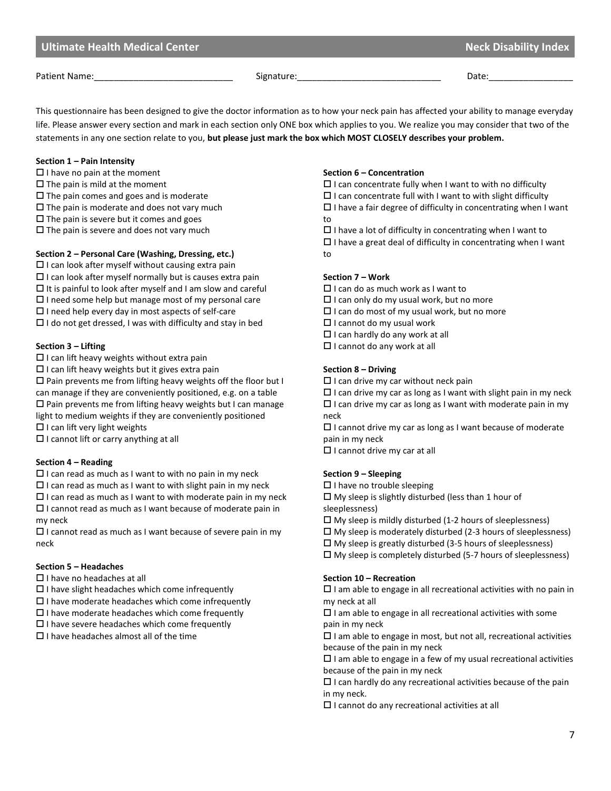| Ultimate Health Medical Center | <b>Neck Disability Index</b> |
|--------------------------------|------------------------------|
|                                |                              |

Patient Name:\_\_\_\_\_\_\_\_\_\_\_\_\_\_\_\_\_\_\_\_\_\_\_\_\_\_\_\_ Signature:\_\_\_\_\_\_\_\_\_\_\_\_\_\_\_\_\_\_\_\_\_\_\_\_\_\_\_\_\_ Date:\_\_\_\_\_\_\_\_\_\_\_\_\_\_\_\_\_

This questionnaire has been designed to give the doctor information as to how your neck pain has affected your ability to manage everyday life. Please answer every section and mark in each section only ONE box which applies to you. We realize you may consider that two of the statements in any one section relate to you, **but please just mark the box which MOST CLOSELY describes your problem.**

#### **Section 1 – Pain Intensity**

 $\Box$  I have no pain at the moment

- $\Box$  The pain is mild at the moment
- $\square$  The pain comes and goes and is moderate
- $\square$  The pain is moderate and does not vary much
- $\square$  The pain is severe but it comes and goes
- $\square$  The pain is severe and does not vary much

## **Section 2 – Personal Care (Washing, Dressing, etc.)**

 $\square$  I can look after myself without causing extra pain

 $\square$  I can look after myself normally but is causes extra pain

 $\Box$  It is painful to look after myself and I am slow and careful

 $\Box$  I need some help but manage most of my personal care

- $\square$  I need help every day in most aspects of self-care
- $\square$  I do not get dressed, I was with difficulty and stay in bed

## **Section 3 – Lifting**

 $\square$  I can lift heavy weights without extra pain

 $\square$  I can lift heavy weights but it gives extra pain

 $\square$  Pain prevents me from lifting heavy weights off the floor but I can manage if they are conveniently positioned, e.g. on a table  $\square$  Pain prevents me from lifting heavy weights but I can manage light to medium weights if they are conveniently positioned

 $\Box$  I can lift very light weights

 $\Box$  I cannot lift or carry anything at all

## **Section 4 – Reading**

 $\Box$  I can read as much as I want to with no pain in my neck

 $\Box$  I can read as much as I want to with slight pain in my neck

 $\Box$  I can read as much as I want to with moderate pain in my neck  $\Box$  I cannot read as much as I want because of moderate pain in my neck

 $\square$  I cannot read as much as I want because of severe pain in my neck

## **Section 5 – Headaches**

 $\Box$  I have no headaches at all

 $\square$  I have slight headaches which come infrequently

 $\square$  I have moderate headaches which come infrequently

 $\square$  I have moderate headaches which come frequently

- $\square$  I have severe headaches which come frequently
- $\Box$  I have headaches almost all of the time

# **Section 6 – Concentration**

 $\Box$  I can concentrate fully when I want to with no difficulty

 $\Box$  I can concentrate full with I want to with slight difficulty

 $\square$  I have a fair degree of difficulty in concentrating when I want to

 $\square$  I have a lot of difficulty in concentrating when I want to

 $\square$  I have a great deal of difficulty in concentrating when I want to

## **Section 7 – Work**

 $\Box$  I can do as much work as I want to

- $\Box$  I can only do my usual work, but no more
- $\Box$  I can do most of my usual work, but no more
- $\Box$  I cannot do my usual work

 $\Box$  I can hardly do any work at all

 $\square$  I cannot do any work at all

# **Section 8 – Driving**

 $\Box$  I can drive my car without neck pain

 $\Box$  I can drive my car as long as I want with slight pain in my neck  $\square$  I can drive my car as long as I want with moderate pain in my neck

 $\square$  I cannot drive my car as long as I want because of moderate pain in my neck

 $\square$  I cannot drive my car at all

## **Section 9 – Sleeping**

 $\Box$  I have no trouble sleeping

 $\Box$  My sleep is slightly disturbed (less than 1 hour of sleeplessness)

 $\Box$  My sleep is mildly disturbed (1-2 hours of sleeplessness)

 $\square$  My sleep is moderately disturbed (2-3 hours of sleeplessness)

 $\Box$  My sleep is greatly disturbed (3-5 hours of sleeplessness)

 $\Box$  My sleep is completely disturbed (5-7 hours of sleeplessness)

## **Section 10 – Recreation**

 $\square$  I am able to engage in all recreational activities with no pain in my neck at all

 $\square$  I am able to engage in all recreational activities with some pain in my neck

 $\square$  I am able to engage in most, but not all, recreational activities because of the pain in my neck

 $\square$  I am able to engage in a few of my usual recreational activities because of the pain in my neck

 $\Box$  I can hardly do any recreational activities because of the pain in my neck.

 $\square$  I cannot do any recreational activities at all